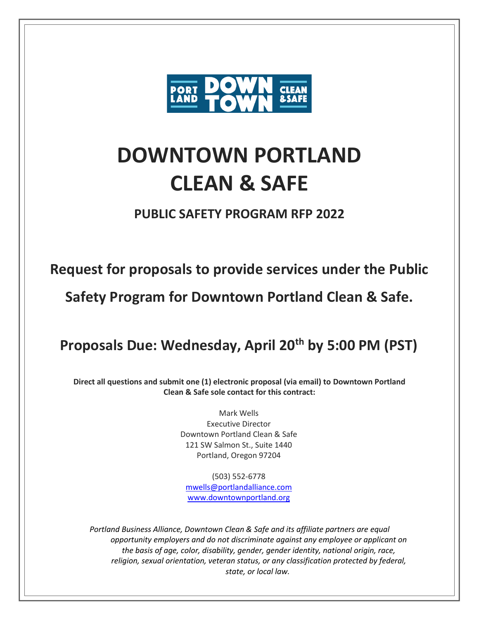

# **DOWNTOWN PORTLAND CLEAN & SAFE**

**PUBLIC SAFETY PROGRAM RFP 2022**

**Request for proposals to provide services under the Public** 

**Safety Program for Downtown Portland Clean & Safe.**

# **Proposals Due: Wednesday, April 20th by 5:00 PM (PST)**

**Direct all questions and submit one (1) electronic proposal (via email) to Downtown Portland Clean & Safe sole contact for this contract:**

> Mark Wells Executive Director Downtown Portland Clean & Safe 121 SW Salmon St., Suite 1440 Portland, Oregon 97204

(503) 552-6778 [mwells@portlandalliance.com](mailto:mwells@portlandalliance.com) [www.downtownportland.org](http://www.downtownportland.org/)

*Portland Business Alliance, Downtown Clean & Safe and its affiliate partners are equal opportunity employers and do not discriminate against any employee or applicant on the basis of age, color, disability, gender, gender identity, national origin, race, religion, sexual orientation, veteran status, or any classification protected by federal, state, or local law.*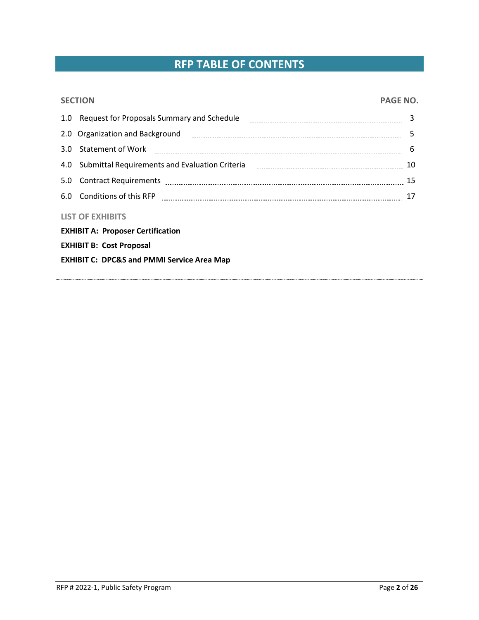# **RFP TABLE OF CONTENTS**

| <b>SECTION</b>                                                                                                                                                                                                | <b>PAGE NO.</b> |
|---------------------------------------------------------------------------------------------------------------------------------------------------------------------------------------------------------------|-----------------|
| Request for Proposals Summary and Schedule [11] [11] Request for Proposals Summary and Schedule [11] [11] Request for Proposals Summary and Schedule [11] [11] [11] Request for Proposals<br>1.0 <sub>1</sub> | 3               |
| 2.0                                                                                                                                                                                                           | 5               |
| 3.O                                                                                                                                                                                                           | -6              |
| Submittal Requirements and Evaluation Criteria [10] [10] Current Communication and To<br>4.0                                                                                                                  |                 |
| 5.0                                                                                                                                                                                                           | -15             |
| 6.0                                                                                                                                                                                                           | 17              |
| <b>LIST OF EXHIBITS</b>                                                                                                                                                                                       |                 |
| <b>EXHIBIT A: Proposer Certification</b>                                                                                                                                                                      |                 |
| <b>EXHIBIT B: Cost Proposal</b>                                                                                                                                                                               |                 |
| <b>EXHIBIT C: DPC&amp;S and PMMI Service Area Map</b>                                                                                                                                                         |                 |
|                                                                                                                                                                                                               |                 |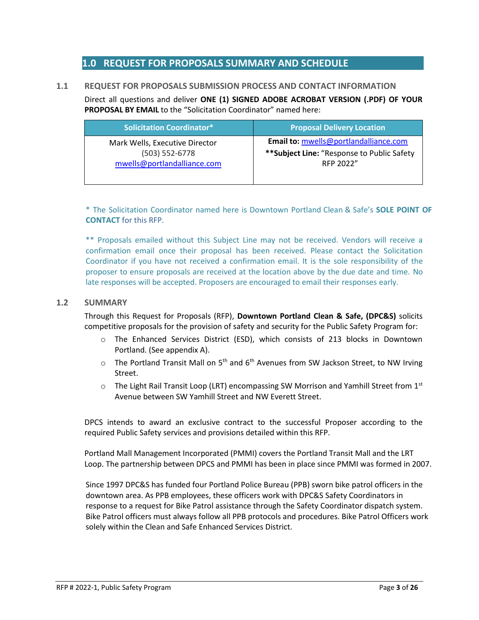# **1.0 1.0 REQUEST FOR PROPOSALS SUMMARY AND SCHEDULE**

#### **1.1 REQUEST FOR PROPOSALS SUBMISSION PROCESS AND CONTACT INFORMATION**

Direct all questions and deliver **ONE (1) SIGNED ADOBE ACROBAT VERSION (.PDF) OF YOUR PROPOSAL BY EMAIL** to the "Solicitation Coordinator" named here:

| <b>Solicitation Coordinator*</b> | <b>Proposal Delivery Location</b>            |
|----------------------------------|----------------------------------------------|
| Mark Wells, Executive Director   | Email to: mwells@portlandalliance.com        |
| $(503) 552 - 6778$               | ** Subject Line: "Response to Public Safety" |
| mwells@portlandalliance.com      | RFP 2022"                                    |
|                                  |                                              |

\* The Solicitation Coordinator named here is Downtown Portland Clean & Safe's **SOLE POINT OF CONTACT** for this RFP.

\*\* Proposals emailed without this Subject Line may not be received. Vendors will receive a confirmation email once their proposal has been received. Please contact the Solicitation Coordinator if you have not received a confirmation email. It is the sole responsibility of the proposer to ensure proposals are received at the location above by the due date and time. No late responses will be accepted. Proposers are encouraged to email their responses early.

#### **1.2 SUMMARY**

Through this Request for Proposals (RFP), **Downtown Portland Clean & Safe, (DPC&S)** solicits competitive proposals for the provision of safety and security for the Public Safety Program for:

- o The Enhanced Services District (ESD), which consists of 213 blocks in Downtown Portland. (See appendix A).
- $\circ$  The Portland Transit Mall on 5<sup>th</sup> and 6<sup>th</sup> Avenues from SW Jackson Street, to NW Irving Street.
- $\circ$  The Light Rail Transit Loop (LRT) encompassing SW Morrison and Yamhill Street from 1st Avenue between SW Yamhill Street and NW Everett Street.

DPCS intends to award an exclusive contract to the successful Proposer according to the required Public Safety services and provisions detailed within this RFP.

Portland Mall Management Incorporated (PMMI) covers the Portland Transit Mall and the LRT Loop. The partnership between DPCS and PMMI has been in place since PMMI was formed in 2007.

Since 1997 DPC&S has funded four Portland Police Bureau (PPB) sworn bike patrol officers in the downtown area. As PPB employees, these officers work with DPC&S Safety Coordinators in response to a request for Bike Patrol assistance through the Safety Coordinator dispatch system. Bike Patrol officers must always follow all PPB protocols and procedures. Bike Patrol Officers work solely within the Clean and Safe Enhanced Services District.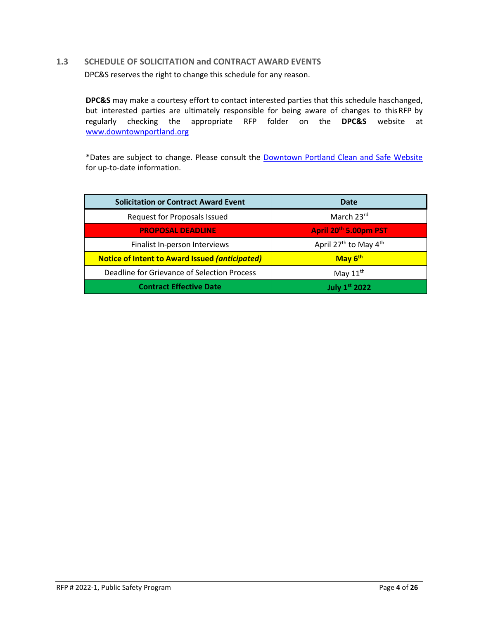# **1.3 SCHEDULE OF SOLICITATION and CONTRACT AWARD EVENTS**

DPC&S reserves the right to change this schedule for any reason.

**DPC&S** may make a courtesy effort to contact interested parties that this schedule haschanged, but interested parties are ultimately responsible for being aware of changes to thisRFP by regularly checking the appropriate RFP folder on the **DPC&S** website at [www.downtownportland.org](http://www.downtownportland.org/)

\*Dates are subject to change. Please consult the [Downtown Portland Clean and Safe Website](https://downtownportland.org/) for up-to-date information.

| <b>Solicitation or Contract Award Event</b>           | Date                                          |  |
|-------------------------------------------------------|-----------------------------------------------|--|
| Request for Proposals Issued                          | March 23rd                                    |  |
| <b>PROPOSAL DEADLINE</b>                              | April 20th 5.00pm PST                         |  |
| Finalist In-person Interviews                         | April 27 <sup>th</sup> to May 4 <sup>th</sup> |  |
| <b>Notice of Intent to Award Issued (anticipated)</b> | May 6 <sup>th</sup>                           |  |
| Deadline for Grievance of Selection Process           | May $11^{\text{th}}$                          |  |
| <b>Contract Effective Date</b>                        | <b>July 1st 2022</b>                          |  |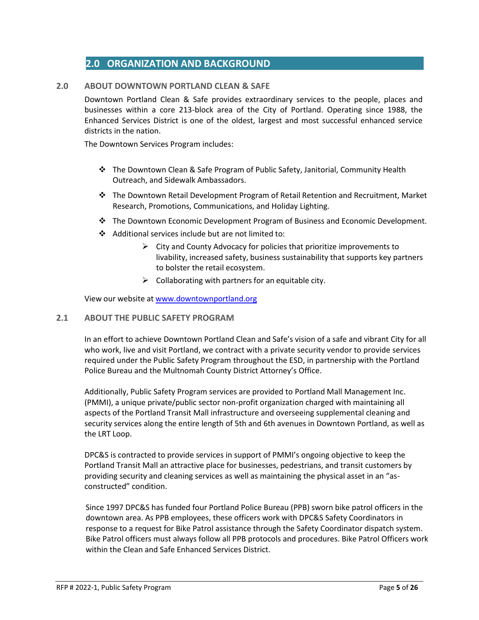# **2.0 ORGANIZATION AND BACKGROUND**

#### **2.0 ABOUT DOWNTOWN PORTLAND CLEAN & SAFE**

Downtown Portland Clean & Safe provides extraordinary services to the people, places and businesses within a core 213-block area of the City of Portland. Operating since 1988, the Enhanced Services District is one of the oldest, largest and most successful enhanced service districts in the nation.

The Downtown Services Program includes:

- ❖ The Downtown Clean & Safe Program of Public Safety, Janitorial, Community Health Outreach, and Sidewalk Ambassadors.
- ❖ The Downtown Retail Development Program of Retail Retention and Recruitment, Market Research, Promotions, Communications, and Holiday Lighting.
- ❖ The Downtown Economic Development Program of Business and Economic Development.
- ❖ Additional services include but are not limited to:
	- $\triangleright$  City and County Advocacy for policies that prioritize improvements to livability, increased safety, business sustainability that supports key partners to bolster the retail ecosystem.
	- $\triangleright$  Collaborating with partners for an equitable city.

View our website at [www.downtownportland.org](http://www.downtownportland.org/)

#### **2.1 ABOUT THE PUBLIC SAFETY PROGRAM**

In an effort to achieve Downtown Portland Clean and Safe's vision of a safe and vibrant City for all who work, live and visit Portland, we contract with a private security vendor to provide services required under the Public Safety Program throughout the ESD, in partnership with the Portland Police Bureau and the Multnomah County District Attorney's Office.

Additionally, Public Safety Program services are provided to Portland Mall Management Inc. (PMMI), a unique private/public sector non-profit organization charged with maintaining all aspects of the Portland Transit Mall infrastructure and overseeing supplemental cleaning and security services along the entire length of 5th and 6th avenues in Downtown Portland, as well as the LRT Loop.

DPC&S is contracted to provide services in support of PMMI's ongoing objective to keep the Portland Transit Mall an attractive place for businesses, pedestrians, and transit customers by providing security and cleaning services as well as maintaining the physical asset in an "asconstructed" condition.

Since 1997 DPC&S has funded four Portland Police Bureau (PPB) sworn bike patrol officers in the downtown area. As PPB employees, these officers work with DPC&S Safety Coordinators in response to a request for Bike Patrol assistance through the Safety Coordinator dispatch system. Bike Patrol officers must always follow all PPB protocols and procedures. Bike Patrol Officers work within the Clean and Safe Enhanced Services District.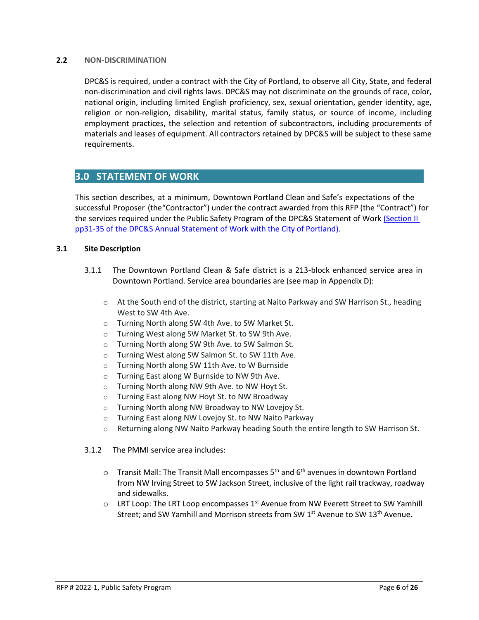#### **2.2 NON-DISCRIMINATION**

DPC&S is required, under a contract with the City of Portland, to observe all City, State, and federal non-discrimination and civil rights laws. DPC&S may not discriminate on the grounds of race, color, national origin, including limited English proficiency, sex, sexual orientation, gender identity, age, religion or non-religion, disability, marital status, family status, or source of income, including employment practices, the selection and retention of subcontractors, including procurements of materials and leases of equipment. All contractors retained by DPC&S will be subject to these same requirements.

# **3.0 3.0 STATEMENT OF WORK**

This section describes, at a minimum, Downtown Portland Clean and Safe's expectations of the successful Proposer (the"Contractor") under the contract awarded from this RFP (the "Contract") for the services required under the Public Safety Program of the DPC&S Statement of Work [\(Section II](https://www.portland.gov/sites/default/files/2021/clean-and-safe-annual-statement-of-work.pdf) pp31-35 of the DPC&S [Annual Statement of Work with the City of Portland\).](https://www.portland.gov/sites/default/files/2021/clean-and-safe-annual-statement-of-work.pdf)

#### **3.1 Site Description**

- 3.1.1 The Downtown Portland Clean & Safe district is a 213-block enhanced service area in Downtown Portland. Service area boundaries are (see map in Appendix D):
	- $\circ$  At the South end of the district, starting at Naito Parkway and SW Harrison St., heading West to SW 4th Ave.
	- o Turning North along SW 4th Ave. to SW Market St.
	- o Turning West along SW Market St. to SW 9th Ave.
	- o Turning North along SW 9th Ave. to SW Salmon St.
	- o Turning West along SW Salmon St. to SW 11th Ave.
	- o Turning North along SW 11th Ave. to W Burnside
	- o Turning East along W Burnside to NW 9th Ave.
	- o Turning North along NW 9th Ave. to NW Hoyt St.
	- o Turning East along NW Hoyt St. to NW Broadway
	- o Turning North along NW Broadway to NW Lovejoy St.
	- o Turning East along NW Lovejoy St. to NW Naito Parkway
	- $\circ$  Returning along NW Naito Parkway heading South the entire length to SW Harrison St.

#### 3.1.2 The PMMI service area includes:

- $\circ$  Transit Mall: The Transit Mall encompasses 5<sup>th</sup> and 6<sup>th</sup> avenues in downtown Portland from NW Irving Street to SW Jackson Street, inclusive of the light rail trackway, roadway and sidewalks.
- $\circ$  LRT Loop: The LRT Loop encompasses 1st Avenue from NW Everett Street to SW Yamhill Street; and SW Yamhill and Morrison streets from SW 1st Avenue to SW 13<sup>th</sup> Avenue.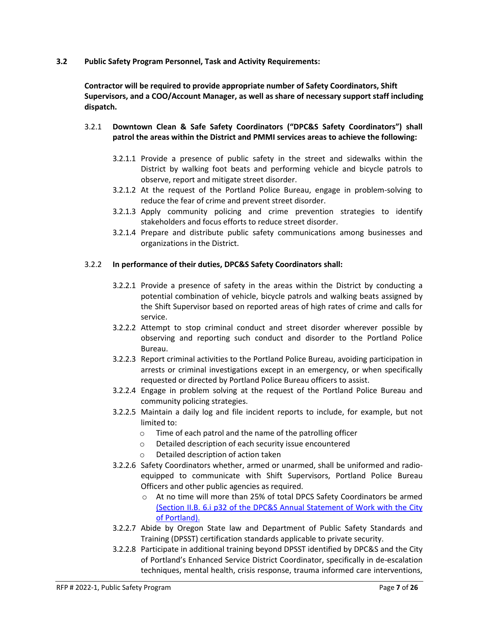#### **3.2 Public Safety Program Personnel, Task and Activity Requirements:**

**Contractor will be required to provide appropriate number of Safety Coordinators, Shift Supervisors, and a COO/Account Manager, as well as share of necessary support staff including dispatch.** 

#### 3.2.1 **Downtown Clean & Safe Safety Coordinators ("DPC&S Safety Coordinators") shall patrol the areas within the District and PMMI services areas to achieve the following:**

- 3.2.1.1 Provide a presence of public safety in the street and sidewalks within the District by walking foot beats and performing vehicle and bicycle patrols to observe, report and mitigate street disorder.
- 3.2.1.2 At the request of the Portland Police Bureau, engage in problem-solving to reduce the fear of crime and prevent street disorder.
- 3.2.1.3 Apply community policing and crime prevention strategies to identify stakeholders and focus efforts to reduce street disorder.
- 3.2.1.4 Prepare and distribute public safety communications among businesses and organizations in the District.

#### 3.2.2 **In performance of their duties, DPC&S Safety Coordinators shall:**

- 3.2.2.1 Provide a presence of safety in the areas within the District by conducting a potential combination of vehicle, bicycle patrols and walking beats assigned by the Shift Supervisor based on reported areas of high rates of crime and calls for service.
- 3.2.2.2 Attempt to stop criminal conduct and street disorder wherever possible by observing and reporting such conduct and disorder to the Portland Police Bureau.
- 3.2.2.3 Report criminal activities to the Portland Police Bureau, avoiding participation in arrests or criminal investigations except in an emergency, or when specifically requested or directed by Portland Police Bureau officers to assist.
- 3.2.2.4 Engage in problem solving at the request of the Portland Police Bureau and community policing strategies.
- 3.2.2.5 Maintain a daily log and file incident reports to include, for example, but not limited to:
	- o Time of each patrol and the name of the patrolling officer
	- o Detailed description of each security issue encountered
	- Detailed description of action taken
- 3.2.2.6 Safety Coordinators whether, armed or unarmed, shall be uniformed and radioequipped to communicate with Shift Supervisors, Portland Police Bureau Officers and other public agencies as required.
	- o At no time will more than 25% of total DPCS Safety Coordinators be armed [\(Section II.B. 6.i](https://www.portland.gov/sites/default/files/2021/clean-and-safe-annual-statement-of-work.pdf) [p32 of the DPC&S Annual Statement of Work with the City](https://www.portland.gov/sites/default/files/2021/clean-and-safe-annual-statement-of-work.pdf)  [of Portland\).](https://www.portland.gov/sites/default/files/2021/clean-and-safe-annual-statement-of-work.pdf)
- 3.2.2.7 Abide by Oregon State law and Department of Public Safety Standards and Training (DPSST) certification standards applicable to private security.
- 3.2.2.8 Participate in additional training beyond DPSST identified by DPC&S and the City of Portland's Enhanced Service District Coordinator, specifically in de-escalation techniques, mental health, crisis response, trauma informed care interventions,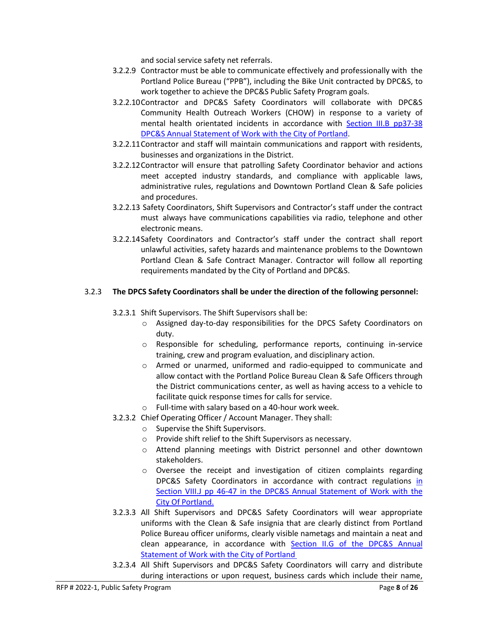and social service safety net referrals.

- 3.2.2.9 Contractor must be able to communicate effectively and professionally with the Portland Police Bureau ("PPB"), including the Bike Unit contracted by DPC&S, to work together to achieve the DPC&S Public Safety Program goals.
- 3.2.2.10Contractor and DPC&S Safety Coordinators will collaborate with DPC&S Community Health Outreach Workers (CHOW) in response to a variety of mental health orientated incidents in accordance with [Section III.B pp37-38](https://www.portland.gov/sites/default/files/2021/clean-and-safe-annual-statement-of-work.pdf)  [DPC&S Annual Statement of Work with the City of Portland.](https://www.portland.gov/sites/default/files/2021/clean-and-safe-annual-statement-of-work.pdf)
- 3.2.2.11Contractor and staff will maintain communications and rapport with residents, businesses and organizations in the District.
- 3.2.2.12Contractor will ensure that patrolling Safety Coordinator behavior and actions meet accepted industry standards, and compliance with applicable laws, administrative rules, regulations and Downtown Portland Clean & Safe policies and procedures.
- 3.2.2.13 Safety Coordinators, Shift Supervisors and Contractor's staff under the contract must always have communications capabilities via radio, telephone and other electronic means.
- 3.2.2.14Safety Coordinators and Contractor's staff under the contract shall report unlawful activities, safety hazards and maintenance problems to the Downtown Portland Clean & Safe Contract Manager. Contractor will follow all reporting requirements mandated by the City of Portland and DPC&S.

# 3.2.3 **The DPCS Safety Coordinators shall be under the direction of the following personnel:**

3.2.3.1 Shift Supervisors. The Shift Supervisors shall be:

- o Assigned day-to-day responsibilities for the DPCS Safety Coordinators on duty.
- o Responsible for scheduling, performance reports, continuing in-service training, crew and program evaluation, and disciplinary action.
- o Armed or unarmed, uniformed and radio-equipped to communicate and allow contact with the Portland Police Bureau Clean & Safe Officers through the District communications center, as well as having access to a vehicle to facilitate quick response times for calls for service.
- o Full-time with salary based on a 40-hour work week.
- 3.2.3.2 Chief Operating Officer / Account Manager. They shall:
	- o Supervise the Shift Supervisors.
	- o Provide shift relief to the Shift Supervisors as necessary.
	- o Attend planning meetings with District personnel and other downtown stakeholders.
	- $\circ$  Oversee the receipt and investigation of citizen complaints regarding DPC&S Safety Coordinators in accordance with contract regulations [in](https://www.portland.gov/sites/default/files/2021/clean-and-safe-annual-statement-of-work.pdf)  [Section VIII.J pp 46-47 in the DPC&S Annual Statement of Work](https://www.portland.gov/sites/default/files/2021/clean-and-safe-annual-statement-of-work.pdf) with the [City Of Portland.](https://www.portland.gov/sites/default/files/2021/clean-and-safe-annual-statement-of-work.pdf)
- 3.2.3.3 All Shift Supervisors and DPC&S Safety Coordinators will wear appropriate uniforms with the Clean & Safe insignia that are clearly distinct from Portland Police Bureau officer uniforms, clearly visible nametags and maintain a neat and clean appearance, in accordance with [Section II.G of the DPC&S Annual](https://www.portland.gov/sites/default/files/2021/clean-and-safe-annual-statement-of-work.pdf)  [Statement of Work with the City of Portland](https://www.portland.gov/sites/default/files/2021/clean-and-safe-annual-statement-of-work.pdf)
- 3.2.3.4 All Shift Supervisors and DPC&S Safety Coordinators will carry and distribute during interactions or upon request, business cards which include their name,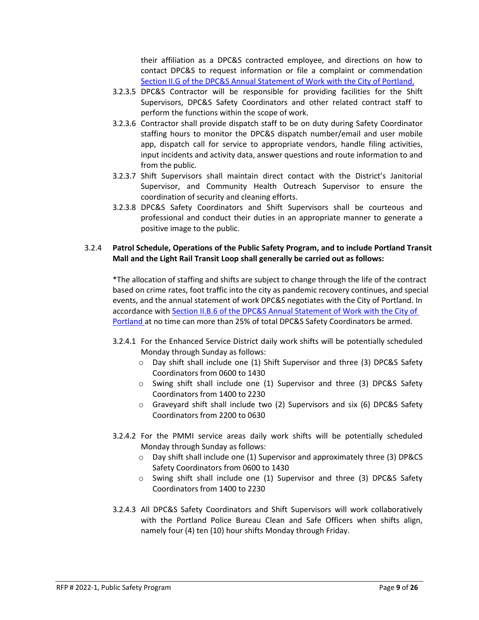their affiliation as a DPC&S contracted employee, and directions on how to contact DPC&S to request information or file a complaint or commendation [Section II.G of the DPC&S Annual Statement of Work with the City of Portland.](https://www.portland.gov/sites/default/files/2021/clean-and-safe-annual-statement-of-work.pdf)

- 3.2.3.5 DPC&S Contractor will be responsible for providing facilities for the Shift Supervisors, DPC&S Safety Coordinators and other related contract staff to perform the functions within the scope of work.
- 3.2.3.6 Contractor shall provide dispatch staff to be on duty during Safety Coordinator staffing hours to monitor the DPC&S dispatch number/email and user mobile app, dispatch call for service to appropriate vendors, handle filing activities, input incidents and activity data, answer questions and route information to and from the public.
- 3.2.3.7 Shift Supervisors shall maintain direct contact with the District's Janitorial Supervisor, and Community Health Outreach Supervisor to ensure the coordination of security and cleaning efforts.
- 3.2.3.8 DPC&S Safety Coordinators and Shift Supervisors shall be courteous and professional and conduct their duties in an appropriate manner to generate a positive image to the public.

#### 3.2.4 **Patrol Schedule, Operations of the Public Safety Program, and to include Portland Transit Mall and the Light Rail Transit Loop shall generally be carried out as follows:**

\*The allocation of staffing and shifts are subject to change through the life of the contract based on crime rates, foot traffic into the city as pandemic recovery continues, and special events, and the annual statement of work DPC&S negotiates with the City of Portland. In accordance with Section II.B.6 [of the DPC&S Annual Statement of Work with the City of](https://www.portland.gov/sites/default/files/2021/clean-and-safe-annual-statement-of-work.pdf)  [Portland a](https://www.portland.gov/sites/default/files/2021/clean-and-safe-annual-statement-of-work.pdf)t no time can more than 25% of total DPC&S Safety Coordinators be armed.

- 3.2.4.1 For the Enhanced Service District daily work shifts will be potentially scheduled Monday through Sunday as follows:
	- $\circ$  Day shift shall include one (1) Shift Supervisor and three (3) DPC&S Safety Coordinators from 0600 to 1430
	- o Swing shift shall include one (1) Supervisor and three (3) DPC&S Safety Coordinators from 1400 to 2230
	- o Graveyard shift shall include two (2) Supervisors and six (6) DPC&S Safety Coordinators from 2200 to 0630
- 3.2.4.2 For the PMMI service areas daily work shifts will be potentially scheduled Monday through Sunday as follows:
	- $\circ$  Day shift shall include one (1) Supervisor and approximately three (3) DP&CS Safety Coordinators from 0600 to 1430
	- o Swing shift shall include one (1) Supervisor and three (3) DPC&S Safety Coordinators from 1400 to 2230
- 3.2.4.3 All DPC&S Safety Coordinators and Shift Supervisors will work collaboratively with the Portland Police Bureau Clean and Safe Officers when shifts align, namely four (4) ten (10) hour shifts Monday through Friday.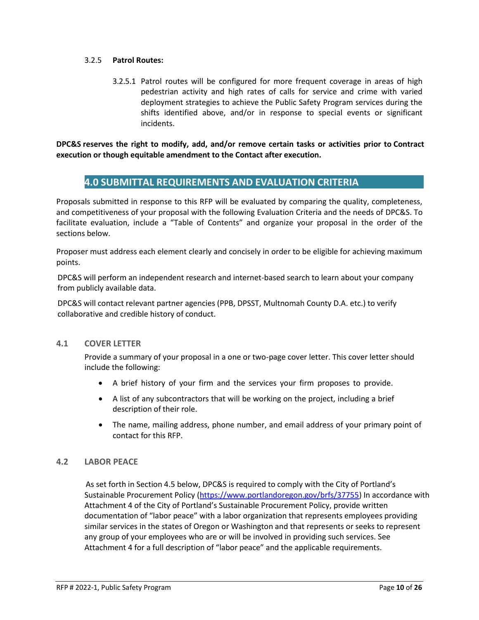#### 3.2.5 **Patrol Routes:**

3.2.5.1 Patrol routes will be configured for more frequent coverage in areas of high pedestrian activity and high rates of calls for service and crime with varied deployment strategies to achieve the Public Safety Program services during the shifts identified above, and/or in response to special events or significant incidents.

**DPC&S reserves the right to modify, add, and/or remove certain tasks or activities prior to Contract execution or though equitable amendment to the Contact after execution.**

# **4.0 4.0 SUBMITTAL REQUIREMENTS AND EVALUATION CRITERIA**

Proposals submitted in response to this RFP will be evaluated by comparing the quality, completeness, and competitiveness of your proposal with the following Evaluation Criteria and the needs of DPC&S. To facilitate evaluation, include a "Table of Contents" and organize your proposal in the order of the sections below.

Proposer must address each element clearly and concisely in order to be eligible for achieving maximum points.

DPC&S will perform an independent research and internet-based search to learn about your company from publicly available data.

DPC&S will contact relevant partner agencies (PPB, DPSST, Multnomah County D.A. etc.) to verify collaborative and credible history of conduct.

#### **4.1 COVER LETTER**

Provide a summary of your proposal in a one or two-page cover letter. This cover letter should include the following:

- A brief history of your firm and the services your firm proposes to provide.
- A list of any subcontractors that will be working on the project, including a brief description of their role.
- The name, mailing address, phone number, and email address of your primary point of contact for this RFP.

#### **4.2 LABOR PEACE**

As set forth in Section 4.5 below, DPC&S is required to comply with the City of Portland's Sustainable Procurement Policy [\(https://www.portlandoregon.gov/brfs/37755\)](https://www.portlandoregon.gov/brfs/37755) In accordance with Attachment 4 of the City of Portland's Sustainable Procurement Policy, provide written documentation of "labor peace" with a labor organization that represents employees providing similar services in the states of Oregon or Washington and that represents or seeks to represent any group of your employees who are or will be involved in providing such services. See Attachment 4 for a full description of "labor peace" and the applicable requirements.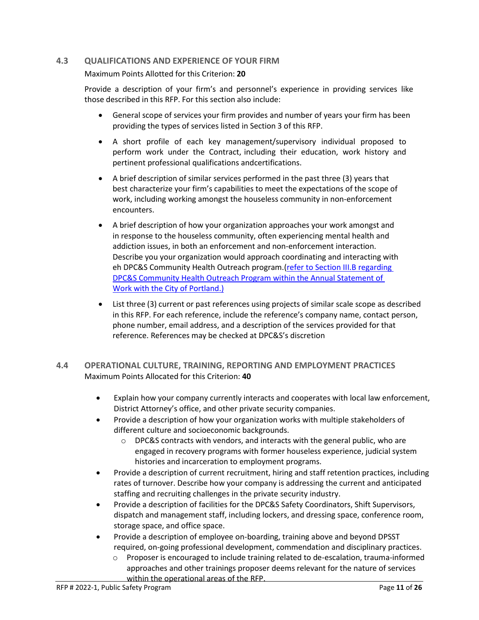#### **4.3 QUALIFICATIONS AND EXPERIENCE OF YOUR FIRM**

#### Maximum Points Allotted for this Criterion: **20**

Provide a description of your firm's and personnel's experience in providing services like those described in this RFP. For this section also include:

- General scope of services your firm provides and number of years your firm has been providing the types of services listed in Section 3 of this RFP.
- A short profile of each key management/supervisory individual proposed to perform work under the Contract, including their education, work history and pertinent professional qualifications andcertifications.
- A brief description of similar services performed in the past three (3) years that best characterize your firm's capabilities to meet the expectations of the scope of work, including working amongst the houseless community in non-enforcement encounters.
- A brief description of how your organization approaches your work amongst and in response to the houseless community, often experiencing mental health and addiction issues, in both an enforcement and non-enforcement interaction. Describe you your organization would approach coordinating and interacting with eh DPC&S Community Health Outreach program.[\(refer to Section III.B regarding](https://www.portland.gov/sites/default/files/2021/clean-and-safe-annual-statement-of-work.pdf)  [DPC&S Community Health Outreach Program](https://www.portland.gov/sites/default/files/2021/clean-and-safe-annual-statement-of-work.pdf) within the Annual Statement of [Work with the City of Portland.\)](https://www.portland.gov/sites/default/files/2021/clean-and-safe-annual-statement-of-work.pdf)
- List three (3) current or past references using projects of similar scale scope as described in this RFP. For each reference, include the reference's company name, contact person, phone number, email address, and a description of the services provided for that reference. References may be checked at DPC&S's discretion

# **4.4 OPERATIONAL CULTURE, TRAINING, REPORTING AND EMPLOYMENT PRACTICES** Maximum Points Allocated for this Criterion: **40**

- Explain how your company currently interacts and cooperates with local law enforcement, District Attorney's office, and other private security companies.
- Provide a description of how your organization works with multiple stakeholders of different culture and socioeconomic backgrounds.
	- $\circ$  DPC&S contracts with vendors, and interacts with the general public, who are engaged in recovery programs with former houseless experience, judicial system histories and incarceration to employment programs.
- Provide a description of current recruitment, hiring and staff retention practices, including rates of turnover. Describe how your company is addressing the current and anticipated staffing and recruiting challenges in the private security industry.
- Provide a description of facilities for the DPC&S Safety Coordinators, Shift Supervisors, dispatch and management staff, including lockers, and dressing space, conference room, storage space, and office space.
- Provide a description of employee on-boarding, training above and beyond DPSST required, on-going professional development, commendation and disciplinary practices.
	- $\circ$  Proposer is encouraged to include training related to de-escalation, trauma-informed approaches and other trainings proposer deems relevant for the nature of services within the operational areas of the RFP.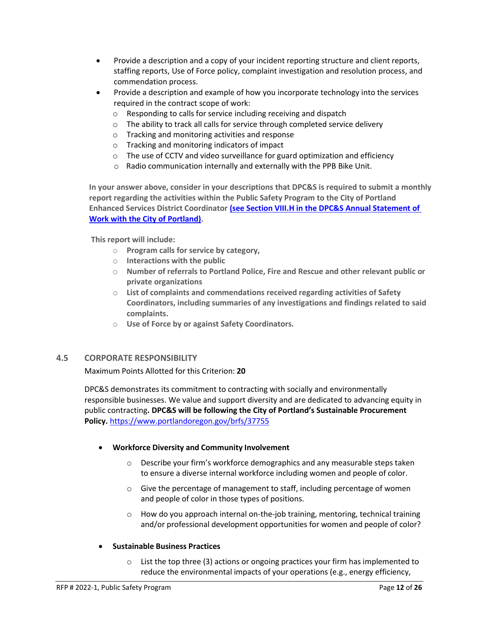- Provide a description and a copy of your incident reporting structure and client reports, staffing reports, Use of Force policy, complaint investigation and resolution process, and commendation process.
- Provide a description and example of how you incorporate technology into the services required in the contract scope of work:
	- o Responding to calls for service including receiving and dispatch
	- o The ability to track all calls for service through completed service delivery
	- o Tracking and monitoring activities and response
	- o Tracking and monitoring indicators of impact
	- $\circ$  The use of CCTV and video surveillance for guard optimization and efficiency
	- o Radio communication internally and externally with the PPB Bike Unit.

**In your answer above, consider in your descriptions that DPC&S is required to submit a monthly report regarding the activities within the Public Safety Program to the City of Portland Enhanced Services District Coordinator [\(see Section VIII.H in the](https://www.portland.gov/sites/default/files/2021/clean-and-safe-annual-statement-of-work.pdf) DPC&S Annual Statement of [Work with the City of Portland\).](https://www.portland.gov/sites/default/files/2021/clean-and-safe-annual-statement-of-work.pdf)**

**This report will include:**

- o **Program calls for service by category,**
- o **Interactions with the public**
- o **Number of referrals to Portland Police, Fire and Rescue and other relevant public or private organizations**
- o **List of complaints and commendations received regarding activities of Safety Coordinators, including summaries of any investigations and findings related to said complaints.**
- o **Use of Force by or against Safety Coordinators.**

# **4.5 CORPORATE RESPONSIBILITY**

Maximum Points Allotted for this Criterion: **20**

DPC&S demonstrates its commitment to contracting with socially and environmentally responsible businesses. We value and support diversity and are dedicated to advancing equity in public contracting**. DPC&S will be following the City of Portland's Sustainable Procurement Policy.** <https://www.portlandoregon.gov/brfs/37755>

# • **Workforce Diversity and Community Involvement**

- o Describe your firm's workforce demographics and any measurable steps taken to ensure a diverse internal workforce including women and people of color.
- o Give the percentage of management to staff, including percentage of women and people of color in those types of positions.
- $\circ$  How do you approach internal on-the-job training, mentoring, technical training and/or professional development opportunities for women and people of color?

# • **Sustainable Business Practices**

 $\circ$  List the top three (3) actions or ongoing practices your firm has implemented to reduce the environmental impacts of your operations (e.g., energy efficiency,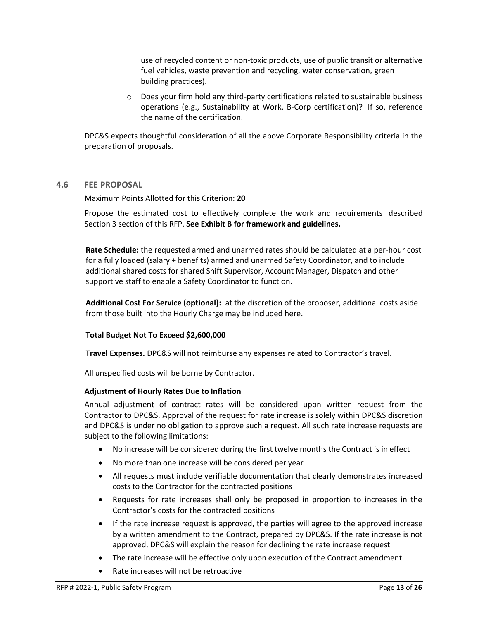use of recycled content or non-toxic products, use of public transit or alternative fuel vehicles, waste prevention and recycling, water conservation, green building practices).

o Does your firm hold any third-party certifications related to sustainable business operations (e.g., Sustainability at Work, B-Corp certification)? If so, reference the name of the certification.

DPC&S expects thoughtful consideration of all the above Corporate Responsibility criteria in the preparation of proposals.

#### **4.6 FEE PROPOSAL**

Maximum Points Allotted for this Criterion: **20**

Propose the estimated cost to effectively complete the work and requirements described Section 3 section of this RFP. **See Exhibit B for framework and guidelines.**

**Rate Schedule:** the requested armed and unarmed rates should be calculated at a per-hour cost for a fully loaded (salary + benefits) armed and unarmed Safety Coordinator, and to include additional shared costs for shared Shift Supervisor, Account Manager, Dispatch and other supportive staff to enable a Safety Coordinator to function.

**Additional Cost For Service (optional):** at the discretion of the proposer, additional costs aside from those built into the Hourly Charge may be included here.

#### **Total Budget Not To Exceed \$2,600,000**

**Travel Expenses.** DPC&S will not reimburse any expenses related to Contractor's travel.

All unspecified costs will be borne by Contractor.

#### **Adjustment of Hourly Rates Due to Inflation**

Annual adjustment of contract rates will be considered upon written request from the Contractor to DPC&S. Approval of the request for rate increase is solely within DPC&S discretion and DPC&S is under no obligation to approve such a request. All such rate increase requests are subject to the following limitations:

- No increase will be considered during the first twelve months the Contract is in effect
- No more than one increase will be considered per year
- All requests must include verifiable documentation that clearly demonstrates increased costs to the Contractor for the contracted positions
- Requests for rate increases shall only be proposed in proportion to increases in the Contractor's costs for the contracted positions
- If the rate increase request is approved, the parties will agree to the approved increase by a written amendment to the Contract, prepared by DPC&S. If the rate increase is not approved, DPC&S will explain the reason for declining the rate increase request
- The rate increase will be effective only upon execution of the Contract amendment
- Rate increases will not be retroactive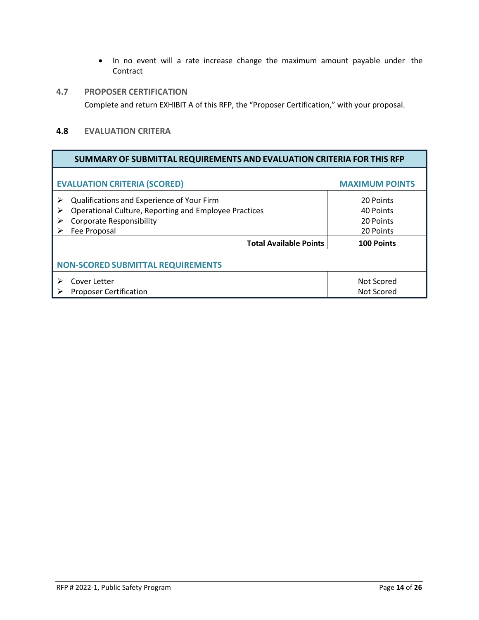- In no event will a rate increase change the maximum amount payable under the Contract
- **4.7 PROPOSER CERTIFICATION**

Complete and return EXHIBIT A of this RFP, the "Proposer Certification," with your proposal.

# **4.8 EVALUATION CRITERA**

| SUMMARY OF SUBMITTAL REQUIREMENTS AND EVALUATION CRITERIA FOR THIS RFP                                                                                           |                                                  |  |
|------------------------------------------------------------------------------------------------------------------------------------------------------------------|--------------------------------------------------|--|
| <b>EVALUATION CRITERIA (SCORED)</b>                                                                                                                              | <b>MAXIMUM POINTS</b>                            |  |
| Qualifications and Experience of Your Firm<br>⋗<br>Operational Culture, Reporting and Employee Practices<br><b>Corporate Responsibility</b><br>⋗<br>Fee Proposal | 20 Points<br>40 Points<br>20 Points<br>20 Points |  |
| <b>Total Available Points</b>                                                                                                                                    | <b>100 Points</b>                                |  |
| <b>NON-SCORED SUBMITTAL REQUIREMENTS</b>                                                                                                                         |                                                  |  |
| Cover Letter<br><b>Proposer Certification</b>                                                                                                                    | Not Scored<br>Not Scored                         |  |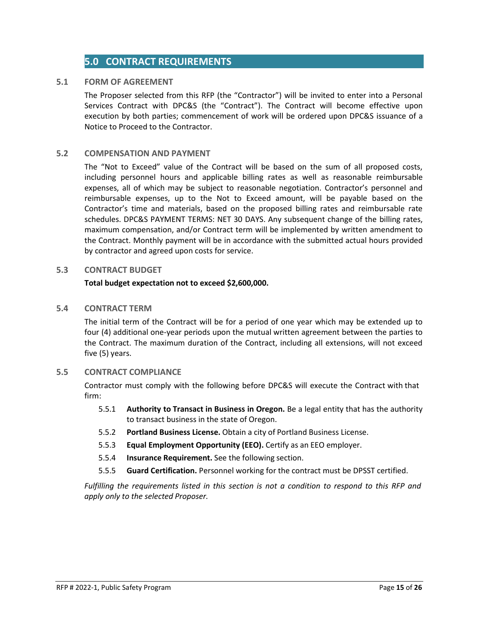# **5.0 5.0 CONTRACT REQUIREMENTS**

#### **5.1 FORM OF AGREEMENT**

The Proposer selected from this RFP (the "Contractor") will be invited to enter into a Personal Services Contract with DPC&S (the "Contract"). The Contract will become effective upon execution by both parties; commencement of work will be ordered upon DPC&S issuance of a Notice to Proceed to the Contractor.

#### **5.2 COMPENSATION AND PAYMENT**

The "Not to Exceed" value of the Contract will be based on the sum of all proposed costs, including personnel hours and applicable billing rates as well as reasonable reimbursable expenses, all of which may be subject to reasonable negotiation. Contractor's personnel and reimbursable expenses, up to the Not to Exceed amount, will be payable based on the Contractor's time and materials, based on the proposed billing rates and reimbursable rate schedules. DPC&S PAYMENT TERMS: NET 30 DAYS. Any subsequent change of the billing rates, maximum compensation, and/or Contract term will be implemented by written amendment to the Contract. Monthly payment will be in accordance with the submitted actual hours provided by contractor and agreed upon costs for service.

#### **5.3 CONTRACT BUDGET**

#### **Total budget expectation not to exceed \$2,600,000.**

#### **5.4 CONTRACT TERM**

The initial term of the Contract will be for a period of one year which may be extended up to four (4) additional one-year periods upon the mutual written agreement between the parties to the Contract. The maximum duration of the Contract, including all extensions, will not exceed five (5) years.

#### **5.5 CONTRACT COMPLIANCE**

Contractor must comply with the following before DPC&S will execute the Contract with that firm:

- 5.5.1 **Authority to Transact in Business in Oregon.** Be a legal entity that has the authority to transact business in the state of Oregon.
- 5.5.2 **Portland Business License.** Obtain a city of Portland Business License.
- 5.5.3 **Equal Employment Opportunity (EEO).** Certify as an EEO employer.
- 5.5.4 **Insurance Requirement.** See the following section.
- 5.5.5 **Guard Certification.** Personnel working for the contract must be DPSST certified.

*Fulfilling the requirements listed in this section is not a condition to respond to this RFP and apply only to the selected Proposer.*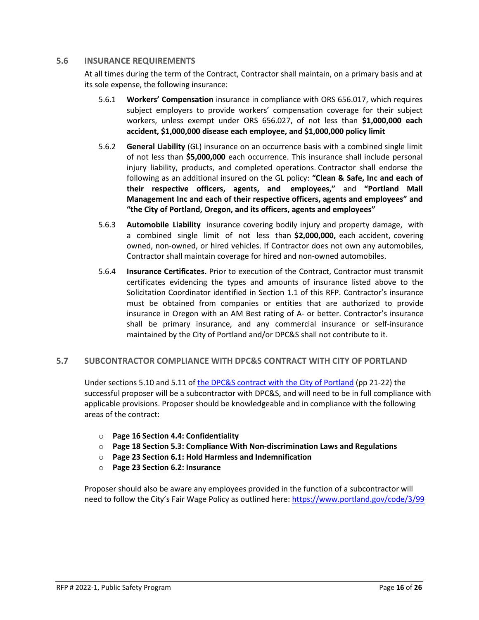#### **5.6 INSURANCE REQUIREMENTS**

At all times during the term of the Contract, Contractor shall maintain, on a primary basis and at its sole expense, the following insurance:

- 5.6.1 **Workers' Compensation** insurance in compliance with ORS 656.017, which requires subject employers to provide workers' compensation coverage for their subject workers, unless exempt under ORS 656.027, of not less than **\$1,000,000 each accident, \$1,000,000 disease each employee, and \$1,000,000 policy limit**
- 5.6.2 **General Liability** (GL) insurance on an occurrence basis with a combined single limit of not less than **\$5,000,000** each occurrence. This insurance shall include personal injury liability, products, and completed operations. Contractor shall endorse the following as an additional insured on the GL policy: **"Clean & Safe, Inc and each of their respective officers, agents, and employees,"** and **"Portland Mall Management Inc and each of their respective officers, agents and employees" and "the City of Portland, Oregon, and its officers, agents and employees"**
- 5.6.3 **Automobile Liability** insurance covering bodily injury and property damage, with a combined single limit of not less than **\$2,000,000,** each accident, covering owned, non-owned, or hired vehicles. If Contractor does not own any automobiles, Contractor shall maintain coverage for hired and non-owned automobiles.
- 5.6.4 **Insurance Certificates.** Prior to execution of the Contract, Contractor must transmit certificates evidencing the types and amounts of insurance listed above to the Solicitation Coordinator identified in Section 1.1 of this RFP. Contractor's insurance must be obtained from companies or entities that are authorized to provide insurance in Oregon with an AM Best rating of A- or better. Contractor's insurance shall be primary insurance, and any commercial insurance or self-insurance maintained by the City of Portland and/or DPC&S shall not contribute to it.

# **5.7 SUBCONTRACTOR COMPLIANCE WITH DPC&S CONTRACT WITH CITY OF PORTLAND**

Under sections 5.10 and 5.11 of [the DPC&S contract with the City of Portland](https://www.portland.gov/sites/default/files/2021/2021-clean-and-safe-contract.pdf) (pp 21-22) the successful proposer will be a subcontractor with DPC&S, and will need to be in full compliance with applicable provisions. Proposer should be knowledgeable and in compliance with the following areas of the contract:

- o **Page 16 Section 4.4: Confidentiality**
- o **Page 18 Section 5.3: Compliance With Non-discrimination Laws and Regulations**
- o **Page 23 Section 6.1: Hold Harmless and Indemnification**
- o **Page 23 Section 6.2: Insurance**

Proposer should also be aware any employees provided in the function of a subcontractor will need to follow the City's Fair Wage Policy as outlined here:<https://www.portland.gov/code/3/99>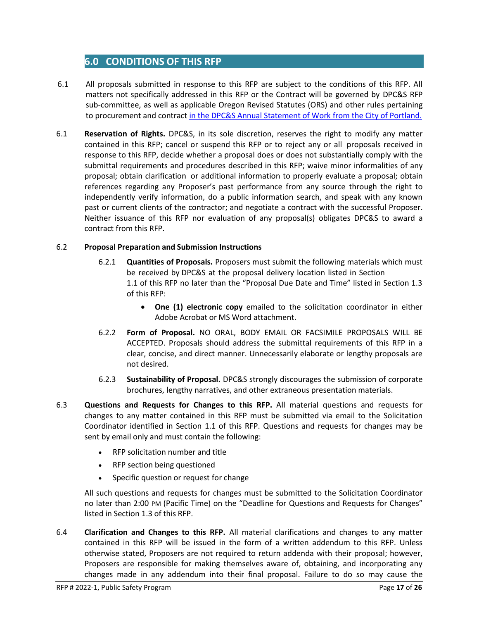# **6.0 6.0 CONDITIONS OF THIS RFP**

- 6.1 All proposals submitted in response to this RFP are subject to the conditions of this RFP. All matters not specifically addressed in this RFP or the Contract will be governed by DPC&S RFP sub-committee, as well as applicable Oregon Revised Statutes (ORS) and other rules pertaining to procurement and contract [in the DPC&S Annual Statement of Work from the City of Portland.](https://www.portland.gov/sites/default/files/2021/clean-and-safe-annual-statement-of-work.pdf)
- 6.1 **Reservation of Rights.** DPC&S, in its sole discretion, reserves the right to modify any matter contained in this RFP; cancel or suspend this RFP or to reject any or all proposals received in response to this RFP, decide whether a proposal does or does not substantially comply with the submittal requirements and procedures described in this RFP; waive minor informalities of any proposal; obtain clarification or additional information to properly evaluate a proposal; obtain references regarding any Proposer's past performance from any source through the right to independently verify information, do a public information search, and speak with any known past or current clients of the contractor; and negotiate a contract with the successful Proposer. Neither issuance of this RFP nor evaluation of any proposal(s) obligates DPC&S to award a contract from this RFP.

#### 6.2 **Proposal Preparation and Submission Instructions**

- 6.2.1 **Quantities of Proposals.** Proposers must submit the following materials which must be received by DPC&S at the proposal delivery location listed in Section 1.1 of this RFP no later than the "Proposal Due Date and Time" listed in Section 1.3 of this RFP:
	- **One (1) electronic copy** emailed to the solicitation coordinator in either Adobe Acrobat or MS Word attachment.
- 6.2.2 **Form of Proposal.** NO ORAL, BODY EMAIL OR FACSIMILE PROPOSALS WILL BE ACCEPTED. Proposals should address the submittal requirements of this RFP in a clear, concise, and direct manner. Unnecessarily elaborate or lengthy proposals are not desired.
- 6.2.3 **Sustainability of Proposal.** DPC&S strongly discourages the submission of corporate brochures, lengthy narratives, and other extraneous presentation materials.
- 6.3 **Questions and Requests for Changes to this RFP.** All material questions and requests for changes to any matter contained in this RFP must be submitted via email to the Solicitation Coordinator identified in Section 1.1 of this RFP. Questions and requests for changes may be sent by email only and must contain the following:
	- RFP solicitation number and title
	- RFP section being questioned
	- Specific question or request for change

All such questions and requests for changes must be submitted to the Solicitation Coordinator no later than 2:00 PM (Pacific Time) on the "Deadline for Questions and Requests for Changes" listed in Section 1.3 of this RFP.

6.4 **Clarification and Changes to this RFP.** All material clarifications and changes to any matter contained in this RFP will be issued in the form of a written addendum to this RFP. Unless otherwise stated, Proposers are not required to return addenda with their proposal; however, Proposers are responsible for making themselves aware of, obtaining, and incorporating any changes made in any addendum into their final proposal. Failure to do so may cause the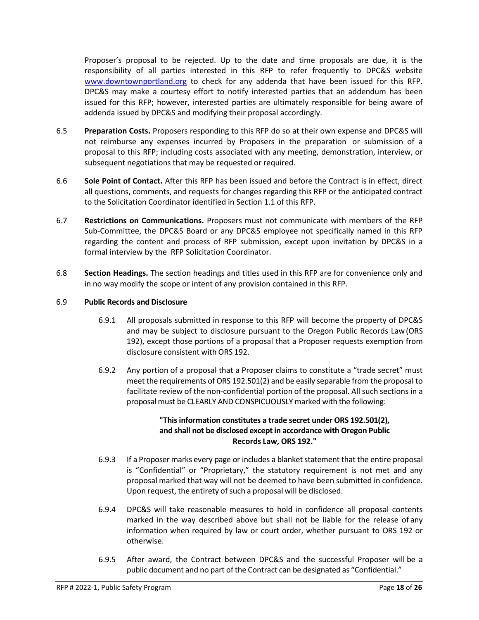Proposer's proposal to be rejected. Up to the date and time proposals are due, it is the responsibility of all parties interested in this RFP to refer frequently to DPC&S website www.downtownportland.org to check for any addenda that have been issued for this RFP. DPC&S may make a courtesy effort to notify interested parties that an addendum has been issued for this RFP; however, interested parties are ultimately responsible for being aware of addenda issued by DPC&S and modifying their proposal accordingly.

- 6.5 **Preparation Costs.** Proposers responding to this RFP do so at their own expense and DPC&S will not reimburse any expenses incurred by Proposers in the preparation or submission of a proposal to this RFP; including costs associated with any meeting, demonstration, interview, or subsequent negotiations that may be requested or required.
- 6.6 **Sole Point of Contact.** After this RFP has been issued and before the Contract is in effect, direct all questions, comments, and requests for changes regarding this RFP or the anticipated contract to the Solicitation Coordinator identified in Section 1.1 of this RFP.
- 6.7 **Restrictions on Communications.** Proposers must not communicate with members of the RFP Sub-Committee, the DPC&S Board or any DPC&S employee not specifically named in this RFP regarding the content and process of RFP submission, except upon invitation by DPC&S in a formal interview by the RFP Solicitation Coordinator.
- 6.8 **Section Headings.** The section headings and titles used in this RFP are for convenience only and in no way modify the scope or intent of any provision contained in this RFP.

#### 6.9 **Public Records and Disclosure**

- 6.9.1 All proposals submitted in response to this RFP will become the property of DPC&S and may be subject to disclosure pursuant to the Oregon Public Records Law(ORS 192), except those portions of a proposal that a Proposer requests exemption from disclosure consistent with ORS 192.
- 6.9.2 Any portion of a proposal that a Proposer claims to constitute a "trade secret" must meet the requirements of ORS 192.501(2) and be easily separable from the proposal to facilitate review of the non-confidential portion of the proposal. All such sections in a proposalmust be CLEARLY AND CONSPICUOUSLY marked with the following:

# **"This information constitutes a trade secret under ORS 192.501(2), and shall not be disclosed except in accordance with Oregon Public Records Law, ORS 192."**

- 6.9.3 If a Proposer marks every page or includes a blanket statement that the entire proposal is "Confidential" or "Proprietary," the statutory requirement is not met and any proposal marked that way will not be deemed to have been submitted in confidence. Upon request, the entirety of such a proposal will be disclosed.
- 6.9.4 DPC&S will take reasonable measures to hold in confidence all proposal contents marked in the way described above but shall not be liable for the release of any information when required by law or court order, whether pursuant to ORS 192 or otherwise.
- 6.9.5 After award, the Contract between DPC&S and the successful Proposer will be a public document and no part of the Contract can be designated as "Confidential."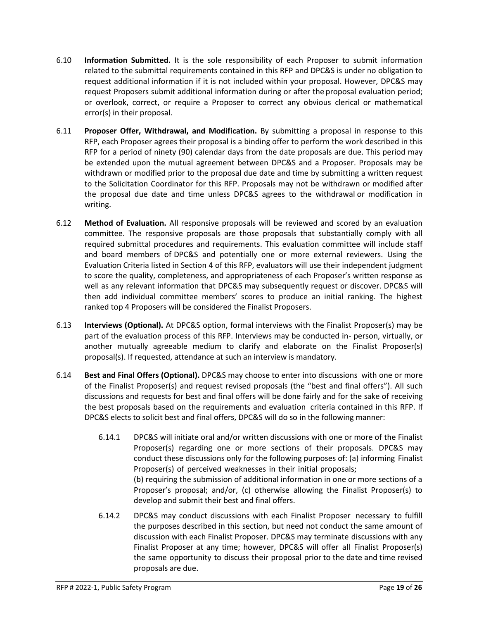- 6.10 **Information Submitted.** It is the sole responsibility of each Proposer to submit information related to the submittal requirements contained in this RFP and DPC&S is under no obligation to request additional information if it is not included within your proposal. However, DPC&S may request Proposers submit additional information during or after the proposal evaluation period; or overlook, correct, or require a Proposer to correct any obvious clerical or mathematical error(s) in their proposal.
- 6.11 **Proposer Offer, Withdrawal, and Modification.** By submitting a proposal in response to this RFP, each Proposer agrees their proposal is a binding offer to perform the work described in this RFP for a period of ninety (90) calendar days from the date proposals are due. This period may be extended upon the mutual agreement between DPC&S and a Proposer. Proposals may be withdrawn or modified prior to the proposal due date and time by submitting a written request to the Solicitation Coordinator for this RFP. Proposals may not be withdrawn or modified after the proposal due date and time unless DPC&S agrees to the withdrawal or modification in writing.
- 6.12 **Method of Evaluation.** All responsive proposals will be reviewed and scored by an evaluation committee. The responsive proposals are those proposals that substantially comply with all required submittal procedures and requirements. This evaluation committee will include staff and board members of DPC&S and potentially one or more external reviewers. Using the Evaluation Criteria listed in Section 4 of this RFP, evaluators will use their independent judgment to score the quality, completeness, and appropriateness of each Proposer's written response as well as any relevant information that DPC&S may subsequently request or discover. DPC&S will then add individual committee members' scores to produce an initial ranking. The highest ranked top 4 Proposers will be considered the Finalist Proposers.
- 6.13 **Interviews (Optional).** At DPC&S option, formal interviews with the Finalist Proposer(s) may be part of the evaluation process of this RFP. Interviews may be conducted in- person, virtually, or another mutually agreeable medium to clarify and elaborate on the Finalist Proposer(s) proposal(s). If requested, attendance at such an interview is mandatory.
- 6.14 **Best and Final Offers (Optional).** DPC&S may choose to enter into discussions with one or more of the Finalist Proposer(s) and request revised proposals (the "best and final offers"). All such discussions and requests for best and final offers will be done fairly and for the sake of receiving the best proposals based on the requirements and evaluation criteria contained in this RFP. If DPC&S elects to solicit best and final offers, DPC&S will do so in the following manner:
	- 6.14.1 DPC&S will initiate oral and/or written discussions with one or more of the Finalist Proposer(s) regarding one or more sections of their proposals. DPC&S may conduct these discussions only for the following purposes of: (a) informing Finalist Proposer(s) of perceived weaknesses in their initial proposals; (b) requiring the submission of additional information in one or more sections of a Proposer's proposal; and/or, (c) otherwise allowing the Finalist Proposer(s) to develop and submit their best and final offers.
	- 6.14.2 DPC&S may conduct discussions with each Finalist Proposer necessary to fulfill the purposes described in this section, but need not conduct the same amount of discussion with each Finalist Proposer. DPC&S may terminate discussions with any Finalist Proposer at any time; however, DPC&S will offer all Finalist Proposer(s) the same opportunity to discuss their proposal prior to the date and time revised proposals are due.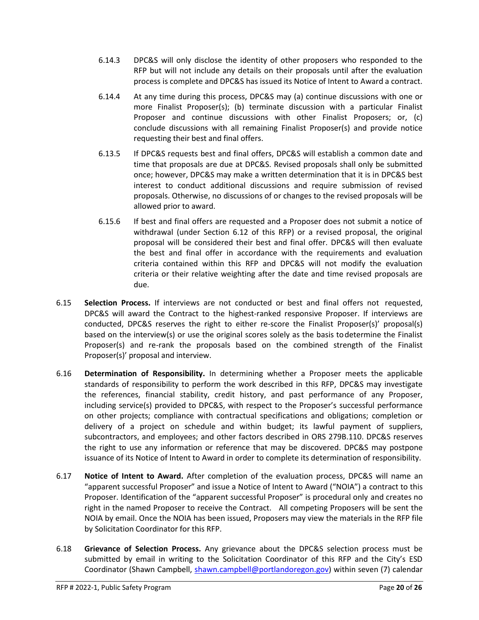- 6.14.3 DPC&S will only disclose the identity of other proposers who responded to the RFP but will not include any details on their proposals until after the evaluation process is complete and DPC&S has issued its Notice of Intent to Award a contract.
- 6.14.4 At any time during this process, DPC&S may (a) continue discussions with one or more Finalist Proposer(s); (b) terminate discussion with a particular Finalist Proposer and continue discussions with other Finalist Proposers; or, (c) conclude discussions with all remaining Finalist Proposer(s) and provide notice requesting their best and final offers.
- 6.13.5 If DPC&S requests best and final offers, DPC&S will establish a common date and time that proposals are due at DPC&S. Revised proposals shall only be submitted once; however, DPC&S may make a written determination that it is in DPC&S best interest to conduct additional discussions and require submission of revised proposals. Otherwise, no discussions of or changes to the revised proposals will be allowed prior to award.
- 6.15.6 If best and final offers are requested and a Proposer does not submit a notice of withdrawal (under Section 6.12 of this RFP) or a revised proposal, the original proposal will be considered their best and final offer. DPC&S will then evaluate the best and final offer in accordance with the requirements and evaluation criteria contained within this RFP and DPC&S will not modify the evaluation criteria or their relative weighting after the date and time revised proposals are due.
- 6.15 **Selection Process.** If interviews are not conducted or best and final offers not requested, DPC&S will award the Contract to the highest-ranked responsive Proposer. If interviews are conducted, DPC&S reserves the right to either re-score the Finalist Proposer(s)' proposal(s) based on the interview(s) or use the original scores solely as the basis todetermine the Finalist Proposer(s) and re-rank the proposals based on the combined strength of the Finalist Proposer(s)' proposal and interview.
- 6.16 **Determination of Responsibility.** In determining whether a Proposer meets the applicable standards of responsibility to perform the work described in this RFP, DPC&S may investigate the references, financial stability, credit history, and past performance of any Proposer, including service(s) provided to DPC&S, with respect to the Proposer's successful performance on other projects; compliance with contractual specifications and obligations; completion or delivery of a project on schedule and within budget; its lawful payment of suppliers, subcontractors, and employees; and other factors described in ORS 279B.110. DPC&S reserves the right to use any information or reference that may be discovered. DPC&S may postpone issuance of its Notice of Intent to Award in order to complete its determination of responsibility.
- 6.17 **Notice of Intent to Award.** After completion of the evaluation process, DPC&S will name an "apparent successful Proposer" and issue a Notice of Intent to Award ("NOIA") a contract to this Proposer. Identification of the "apparent successful Proposer" is procedural only and creates no right in the named Proposer to receive the Contract. All competing Proposers will be sent the NOIA by email. Once the NOIA has been issued, Proposers may view the materials in the RFP file by Solicitation Coordinator for this RFP.
- 6.18 **Grievance of Selection Process.** Any grievance about the DPC&S selection process must be submitted by email in writing to the Solicitation Coordinator of this RFP and the City's ESD Coordinator (Shawn Campbell, [shawn.campbell@portlandoregon.gov\)](mailto:shawn.campbell@portlandoregon.gov) within seven (7) calendar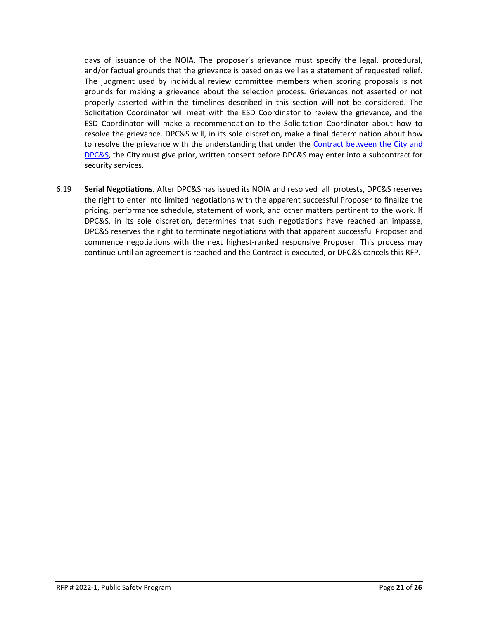days of issuance of the NOIA. The proposer's grievance must specify the legal, procedural, and/or factual grounds that the grievance is based on as well as a statement of requested relief. The judgment used by individual review committee members when scoring proposals is not grounds for making a grievance about the selection process. Grievances not asserted or not properly asserted within the timelines described in this section will not be considered. The Solicitation Coordinator will meet with the ESD Coordinator to review the grievance, and the ESD Coordinator will make a recommendation to the Solicitation Coordinator about how to resolve the grievance. DPC&S will, in its sole discretion, make a final determination about how to resolve the grievance with the understanding that under the [Contract between the City and](https://www.portland.gov/sites/default/files/2021/2021-clean-and-safe-contract_0.pdf)  [DPC&S,](https://www.portland.gov/sites/default/files/2021/2021-clean-and-safe-contract_0.pdf) the City must give prior, written consent before DPC&S may enter into a subcontract for security services.

6.19 **Serial Negotiations.** After DPC&S has issued its NOIA and resolved all protests, DPC&S reserves the right to enter into limited negotiations with the apparent successful Proposer to finalize the pricing, performance schedule, statement of work, and other matters pertinent to the work. If DPC&S, in its sole discretion, determines that such negotiations have reached an impasse, DPC&S reserves the right to terminate negotiations with that apparent successful Proposer and commence negotiations with the next highest-ranked responsive Proposer. This process may continue until an agreement is reached and the Contract is executed, or DPC&S cancels this RFP.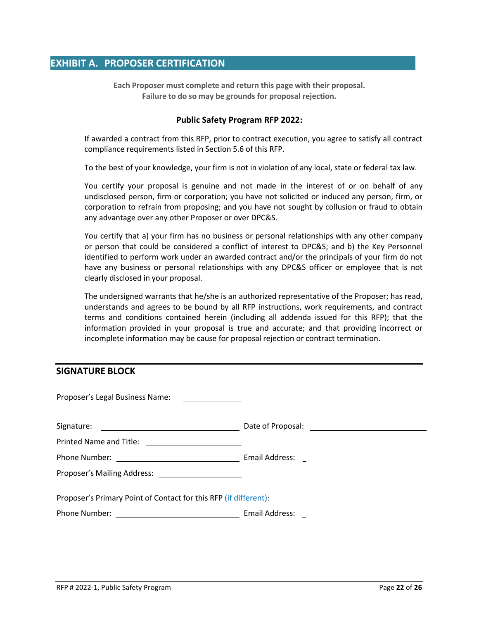# **EXHIBIT A. PROPOSER CERTIFICATION**

**Each Proposer must complete and return this page with their proposal. Failure to do so may be grounds for proposal rejection.**

#### **Public Safety Program RFP 2022:**

If awarded a contract from this RFP, prior to contract execution, you agree to satisfy all contract compliance requirements listed in Section 5.6 of this RFP.

To the best of your knowledge, your firm is not in violation of any local, state or federal tax law.

You certify your proposal is genuine and not made in the interest of or on behalf of any undisclosed person, firm or corporation; you have not solicited or induced any person, firm, or corporation to refrain from proposing; and you have not sought by collusion or fraud to obtain any advantage over any other Proposer or over DPC&S.

You certify that a) your firm has no business or personal relationships with any other company or person that could be considered a conflict of interest to DPC&S; and b) the Key Personnel identified to perform work under an awarded contract and/or the principals of your firm do not have any business or personal relationships with any DPC&S officer or employee that is not clearly disclosed in your proposal.

The undersigned warrants that he/she is an authorized representative of the Proposer; has read, understands and agrees to be bound by all RFP instructions, work requirements, and contract terms and conditions contained herein (including all addenda issued for this RFP); that the information provided in your proposal is true and accurate; and that providing incorrect or incomplete information may be cause for proposal rejection or contract termination.

#### **SIGNATURE BLOCK**

| Proposer's Legal Business Name: _______________                  |                                      |  |  |
|------------------------------------------------------------------|--------------------------------------|--|--|
|                                                                  | Date of Proposal: \\end{\mathbf{c}}} |  |  |
|                                                                  |                                      |  |  |
|                                                                  |                                      |  |  |
|                                                                  |                                      |  |  |
| Proposer's Primary Point of Contact for this RFP (if different): |                                      |  |  |
|                                                                  |                                      |  |  |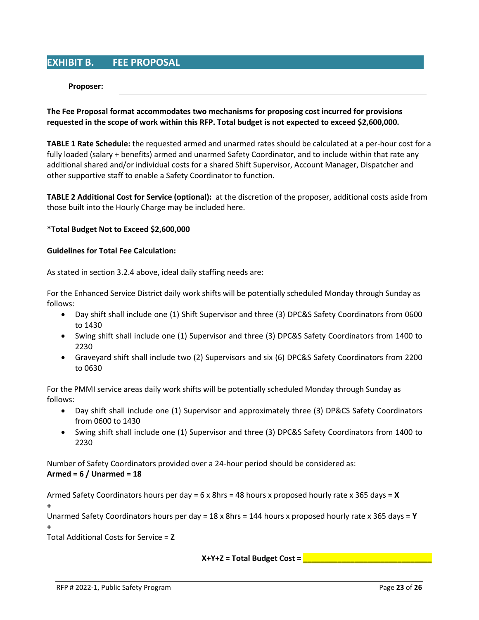# **EXHIBIT B. FEE PROPOSAL**

#### **Proposer:**

**The Fee Proposal format accommodates two mechanisms for proposing cost incurred for provisions requested in the scope of work within this RFP. Total budget is not expected to exceed \$2,600,000.**

**TABLE 1 Rate Schedule:** the requested armed and unarmed rates should be calculated at a per-hour cost for a fully loaded (salary + benefits) armed and unarmed Safety Coordinator, and to include within that rate any additional shared and/or individual costs for a shared Shift Supervisor, Account Manager, Dispatcher and other supportive staff to enable a Safety Coordinator to function.

**TABLE 2 Additional Cost for Service (optional):** at the discretion of the proposer, additional costs aside from those built into the Hourly Charge may be included here.

#### **\*Total Budget Not to Exceed \$2,600,000**

#### **Guidelines for Total Fee Calculation:**

As stated in section 3.2.4 above, ideal daily staffing needs are:

For the Enhanced Service District daily work shifts will be potentially scheduled Monday through Sunday as follows:

- Day shift shall include one (1) Shift Supervisor and three (3) DPC&S Safety Coordinators from 0600 to 1430
- Swing shift shall include one (1) Supervisor and three (3) DPC&S Safety Coordinators from 1400 to 2230
- Graveyard shift shall include two (2) Supervisors and six (6) DPC&S Safety Coordinators from 2200 to 0630

For the PMMI service areas daily work shifts will be potentially scheduled Monday through Sunday as follows:

- Day shift shall include one (1) Supervisor and approximately three (3) DP&CS Safety Coordinators from 0600 to 1430
- Swing shift shall include one (1) Supervisor and three (3) DPC&S Safety Coordinators from 1400 to 2230

Number of Safety Coordinators provided over a 24-hour period should be considered as: **Armed = 6 / Unarmed = 18**

Armed Safety Coordinators hours per day = 6 x 8hrs = 48 hours x proposed hourly rate x 365 days = **X +**

Unarmed Safety Coordinators hours per day = 18 x 8hrs = 144 hours x proposed hourly rate x 365 days = **Y +**

Total Additional Costs for Service = **Z**

**X+Y+Z = Total Budget Cost = \_\_\_\_\_\_\_\_\_\_\_\_\_\_\_\_\_\_\_\_\_\_\_\_\_\_\_\_\_\_**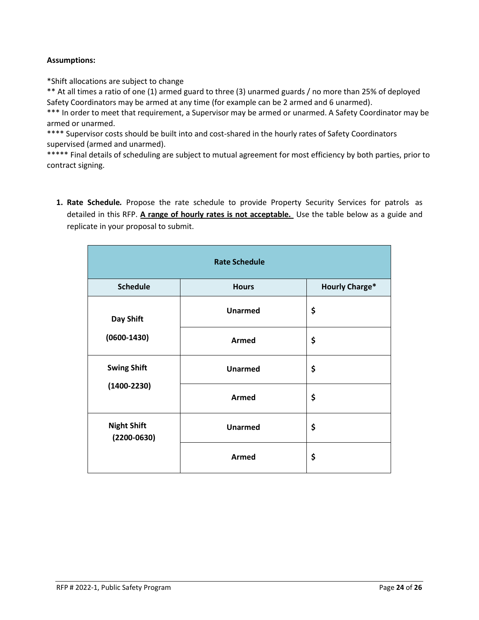# **Assumptions:**

\*Shift allocations are subject to change

\*\* At all times a ratio of one (1) armed guard to three (3) unarmed guards / no more than 25% of deployed Safety Coordinators may be armed at any time (for example can be 2 armed and 6 unarmed).

\*\*\* In order to meet that requirement, a Supervisor may be armed or unarmed. A Safety Coordinator may be armed or unarmed.

\*\*\*\* Supervisor costs should be built into and cost-shared in the hourly rates of Safety Coordinators supervised (armed and unarmed).

\*\*\*\*\* Final details of scheduling are subject to mutual agreement for most efficiency by both parties, prior to contract signing.

**1. Rate Schedule***.* Propose the rate schedule to provide Property Security Services for patrols as detailed in this RFP. **A range of hourly rates is not acceptable.** Use the table below as a guide and replicate in your proposal to submit.

| <b>Rate Schedule</b>                  |                |                       |  |
|---------------------------------------|----------------|-----------------------|--|
| <b>Schedule</b>                       | <b>Hours</b>   | <b>Hourly Charge*</b> |  |
| Day Shift<br>$(0600 - 1430)$          | <b>Unarmed</b> | \$                    |  |
|                                       | <b>Armed</b>   | \$                    |  |
| <b>Swing Shift</b><br>$(1400 - 2230)$ | <b>Unarmed</b> | \$                    |  |
|                                       | <b>Armed</b>   | \$                    |  |
| <b>Night Shift</b><br>$(2200 - 0630)$ | Unarmed        | \$                    |  |
|                                       | <b>Armed</b>   | \$                    |  |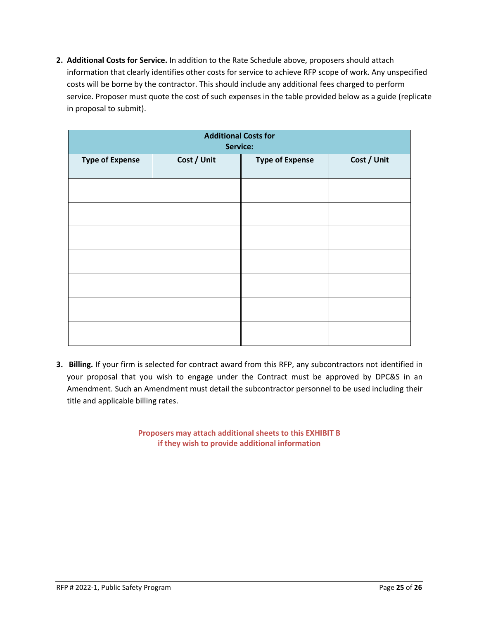**2. Additional Costs for Service.** In addition to the Rate Schedule above, proposers should attach information that clearly identifies other costs for service to achieve RFP scope of work. Any unspecified costs will be borne by the contractor. This should include any additional fees charged to perform service. Proposer must quote the cost of such expenses in the table provided below as a guide (replicate in proposal to submit).

| <b>Additional Costs for</b><br>Service: |             |                        |             |
|-----------------------------------------|-------------|------------------------|-------------|
| <b>Type of Expense</b>                  | Cost / Unit | <b>Type of Expense</b> | Cost / Unit |
|                                         |             |                        |             |
|                                         |             |                        |             |
|                                         |             |                        |             |
|                                         |             |                        |             |
|                                         |             |                        |             |
|                                         |             |                        |             |
|                                         |             |                        |             |

**3. Billing.** If your firm is selected for contract award from this RFP, any subcontractors not identified in your proposal that you wish to engage under the Contract must be approved by DPC&S in an Amendment. Such an Amendment must detail the subcontractor personnel to be used including their title and applicable billing rates.

> **Proposers may attach additional sheets to this EXHIBIT B if they wish to provide additional information**